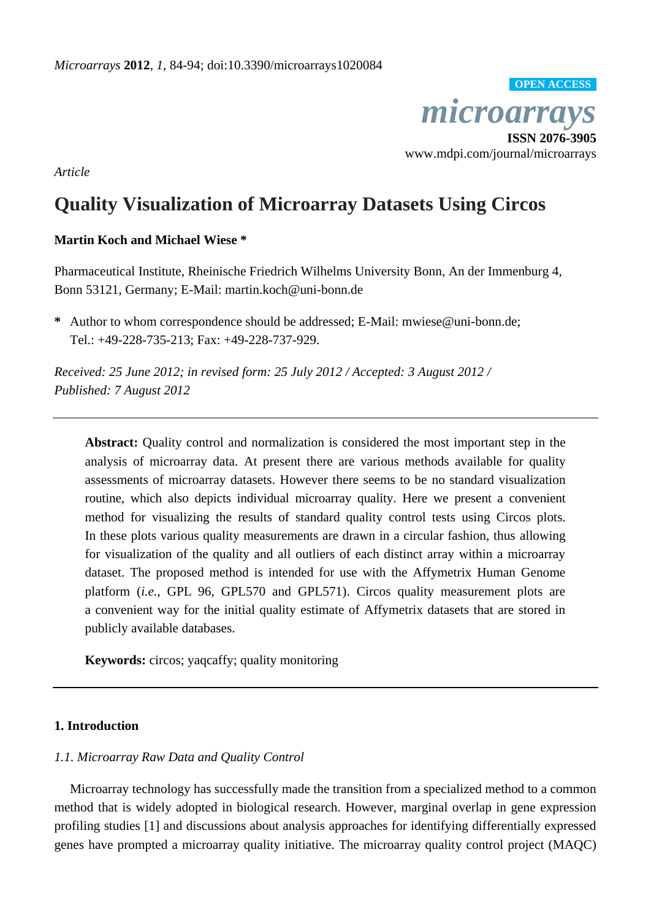*microarrays* **ISSN 2076-3905 OPEN ACCESS**

www.mdpi.com/journal/microarrays

*Article*

# **Quality Visualization of Microarray Datasets Using Circos**

# **Martin Koch and Michael Wiese \***

Pharmaceutical Institute, Rheinische Friedrich Wilhelms University Bonn, An der Immenburg 4, Bonn 53121, Germany; E-Mail: martin.koch@uni-bonn.de

**\*** Author to whom correspondence should be addressed; E-Mail: mwiese@uni-bonn.de; Tel.: +49-228-735-213; Fax: +49-228-737-929.

*Received: 25 June 2012; in revised form: 25 July 2012 / Accepted: 3 August 2012 / Published: 7 August 2012*

**Abstract:** Quality control and normalization is considered the most important step in the analysis of microarray data. At present there are various methods available for quality assessments of microarray datasets. However there seems to be no standard visualization routine, which also depicts individual microarray quality. Here we present a convenient method for visualizing the results of standard quality control tests using Circos plots. In these plots various quality measurements are drawn in a circular fashion, thus allowing for visualization of the quality and all outliers of each distinct array within a microarray dataset. The proposed method is intended for use with the Affymetrix Human Genome platform (*i.e.*, GPL 96, GPL570 and GPL571). Circos quality measurement plots are a convenient way for the initial quality estimate of Affymetrix datasets that are stored in publicly available databases.

**Keywords:** circos; yaqcaffy; quality monitoring

# **1. Introduction**

# *1.1. Microarray Raw Data and Quality Control*

Microarray technology has successfully made the transition from a specialized method to a common method that is widely adopted in biological research. However, marginal overlap in gene expression profiling studies [1] and discussions about analysis approaches for identifying differentially expressed genes have prompted a microarray quality initiative. The microarray quality control project (MAQC)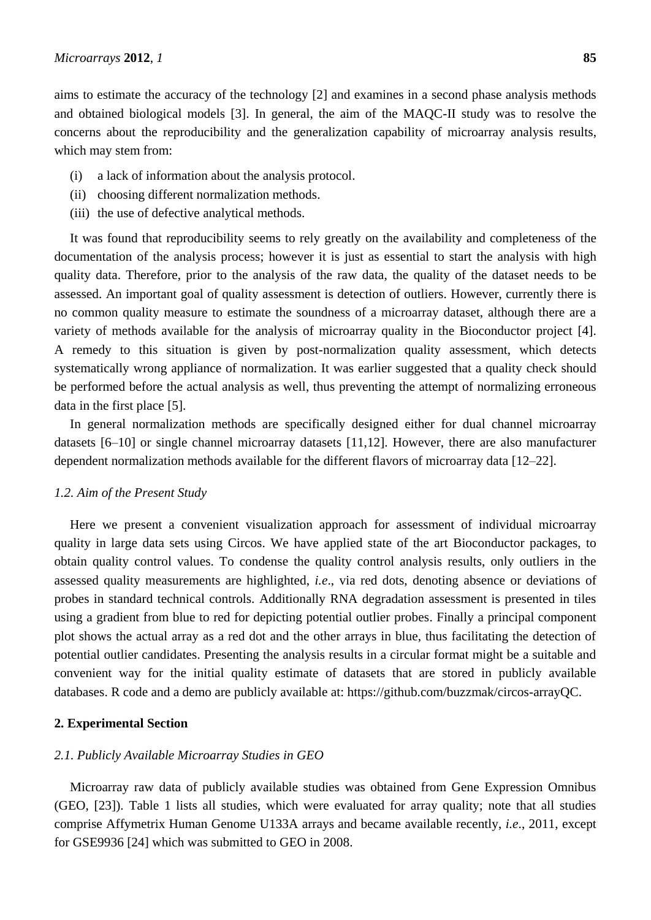aims to estimate the accuracy of the technology [2] and examines in a second phase analysis methods and obtained biological models [3]. In general, the aim of the MAQC-II study was to resolve the concerns about the reproducibility and the generalization capability of microarray analysis results, which may stem from:

- (i) a lack of information about the analysis protocol.
- (ii) choosing different normalization methods.
- (iii) the use of defective analytical methods.

It was found that reproducibility seems to rely greatly on the availability and completeness of the documentation of the analysis process; however it is just as essential to start the analysis with high quality data. Therefore, prior to the analysis of the raw data, the quality of the dataset needs to be assessed. An important goal of quality assessment is detection of outliers. However, currently there is no common quality measure to estimate the soundness of a microarray dataset, although there are a variety of methods available for the analysis of microarray quality in the Bioconductor project [4]. A remedy to this situation is given by post-normalization quality assessment, which detects systematically wrong appliance of normalization. It was earlier suggested that a quality check should be performed before the actual analysis as well, thus preventing the attempt of normalizing erroneous data in the first place [5].

In general normalization methods are specifically designed either for dual channel microarray datasets [6–10] or single channel microarray datasets [11,12]. However, there are also manufacturer dependent normalization methods available for the different flavors of microarray data [12–22].

#### *1.2. Aim of the Present Study*

Here we present a convenient visualization approach for assessment of individual microarray quality in large data sets using Circos. We have applied state of the art Bioconductor packages, to obtain quality control values. To condense the quality control analysis results, only outliers in the assessed quality measurements are highlighted, *i.e*., via red dots, denoting absence or deviations of probes in standard technical controls. Additionally RNA degradation assessment is presented in tiles using a gradient from blue to red for depicting potential outlier probes. Finally a principal component plot shows the actual array as a red dot and the other arrays in blue, thus facilitating the detection of potential outlier candidates. Presenting the analysis results in a circular format might be a suitable and convenient way for the initial quality estimate of datasets that are stored in publicly available databases. R code and a demo are publicly available at: https://github.com/buzzmak/circos-arrayQC.

# **2. Experimental Section**

## *2.1. Publicly Available Microarray Studies in GEO*

Microarray raw data of publicly available studies was obtained from Gene Expression Omnibus (GEO, [23]). Table 1 lists all studies, which were evaluated for array quality; note that all studies comprise Affymetrix Human Genome U133A arrays and became available recently, *i.e*., 2011, except for GSE9936 [24] which was submitted to GEO in 2008.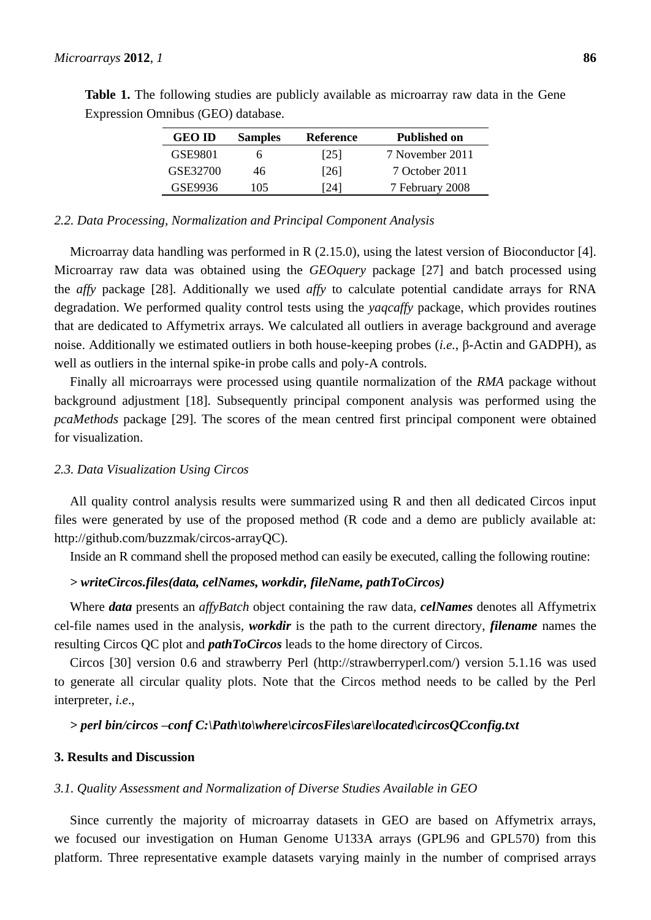| <b>GEO ID</b> | <b>Samples</b> | <b>Reference</b>   | Published on    |
|---------------|----------------|--------------------|-----------------|
| GSE9801       |                | $\lceil 25 \rceil$ | 7 November 2011 |
| GSE32700      | 46             | [26]               | 7 October 2011  |
| GSE9936       | 105            | 241                | 7 February 2008 |

**Table 1.** The following studies are publicly available as microarray raw data in the Gene Expression Omnibus (GEO) database.

# *2.2. Data Processing, Normalization and Principal Component Analysis*

Microarray data handling was performed in R (2.15.0), using the latest version of Bioconductor [4]. Microarray raw data was obtained using the *GEOquery* package [27] and batch processed using the *affy* package [28]. Additionally we used *affy* to calculate potential candidate arrays for RNA degradation. We performed quality control tests using the *yaqcaffy* package, which provides routines that are dedicated to Affymetrix arrays. We calculated all outliers in average background and average noise. Additionally we estimated outliers in both house-keeping probes (*i.e.*, β-Actin and GADPH), as well as outliers in the internal spike-in probe calls and poly-A controls.

Finally all microarrays were processed using quantile normalization of the *RMA* package without background adjustment [18]. Subsequently principal component analysis was performed using the *pcaMethods* package [29]. The scores of the mean centred first principal component were obtained for visualization.

#### *2.3. Data Visualization Using Circos*

All quality control analysis results were summarized using R and then all dedicated Circos input files were generated by use of the proposed method (R code and a demo are publicly available at: http://github.com/buzzmak/circos-arrayQC).

Inside an R command shell the proposed method can easily be executed, calling the following routine:

# *> writeCircos.files(data, celNames, workdir, fileName, pathToCircos)*

Where *data* presents an *affyBatch* object containing the raw data, *celNames* denotes all Affymetrix cel-file names used in the analysis, *workdir* is the path to the current directory, *filename* names the resulting Circos QC plot and *pathToCircos* leads to the home directory of Circos.

Circos [30] version 0.6 and strawberry Perl (http://strawberryperl.com/) version 5.1.16 was used to generate all circular quality plots. Note that the Circos method needs to be called by the Perl interpreter, *i.e*.,

# *> perl bin/circos –conf C:\Path\to\where\circosFiles\are\located\circosQCconfig.txt*

#### **3. Results and Discussion**

#### *3.1. Quality Assessment and Normalization of Diverse Studies Available in GEO*

Since currently the majority of microarray datasets in GEO are based on Affymetrix arrays, we focused our investigation on Human Genome U133A arrays (GPL96 and GPL570) from this platform. Three representative example datasets varying mainly in the number of comprised arrays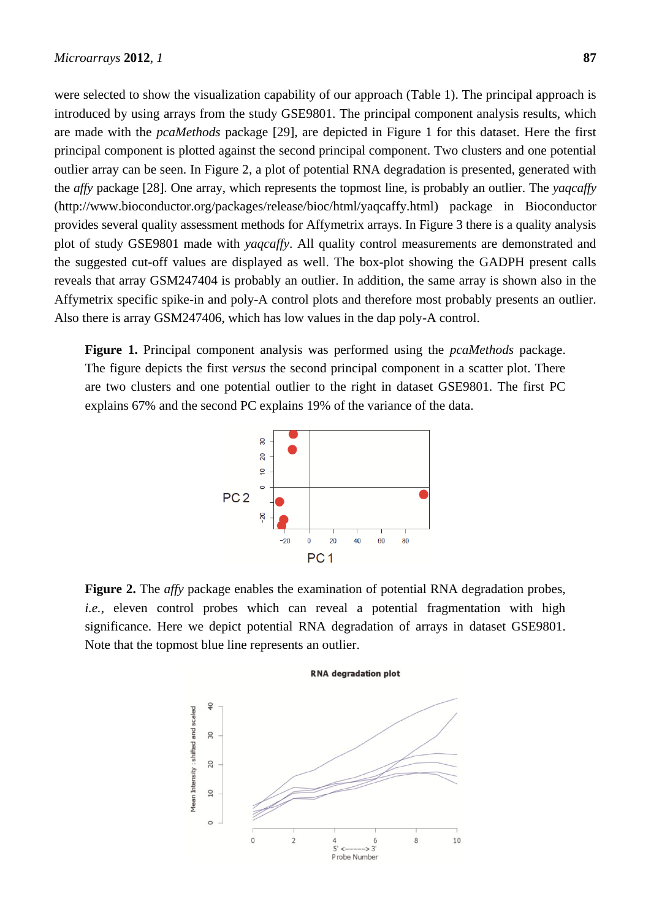were selected to show the visualization capability of our approach (Table 1). The principal approach is introduced by using arrays from the study GSE9801. The principal component analysis results, which are made with the *pcaMethods* package [29], are depicted in Figure 1 for this dataset. Here the first principal component is plotted against the second principal component. Two clusters and one potential outlier array can be seen. In Figure 2, a plot of potential RNA degradation is presented, generated with the *affy* package [28]. One array, which represents the topmost line, is probably an outlier. The *yaqcaffy* (http://www.bioconductor.org/packages/release/bioc/html/yaqcaffy.html) package in Bioconductor provides several quality assessment methods for Affymetrix arrays. In Figure 3 there is a quality analysis plot of study GSE9801 made with *yaqcaffy*. All quality control measurements are demonstrated and the suggested cut-off values are displayed as well. The box-plot showing the GADPH present calls reveals that array GSM247404 is probably an outlier. In addition, the same array is shown also in the Affymetrix specific spike-in and poly-A control plots and therefore most probably presents an outlier. Also there is array GSM247406, which has low values in the dap poly-A control.

**Figure 1.** Principal component analysis was performed using the *pcaMethods* package. The figure depicts the first *versus* the second principal component in a scatter plot. There are two clusters and one potential outlier to the right in dataset GSE9801. The first PC explains 67% and the second PC explains 19% of the variance of the data.



**Figure 2.** The *affy* package enables the examination of potential RNA degradation probes, *i.e.*, eleven control probes which can reveal a potential fragmentation with high significance. Here we depict potential RNA degradation of arrays in dataset GSE9801. Note that the topmost blue line represents an outlier.

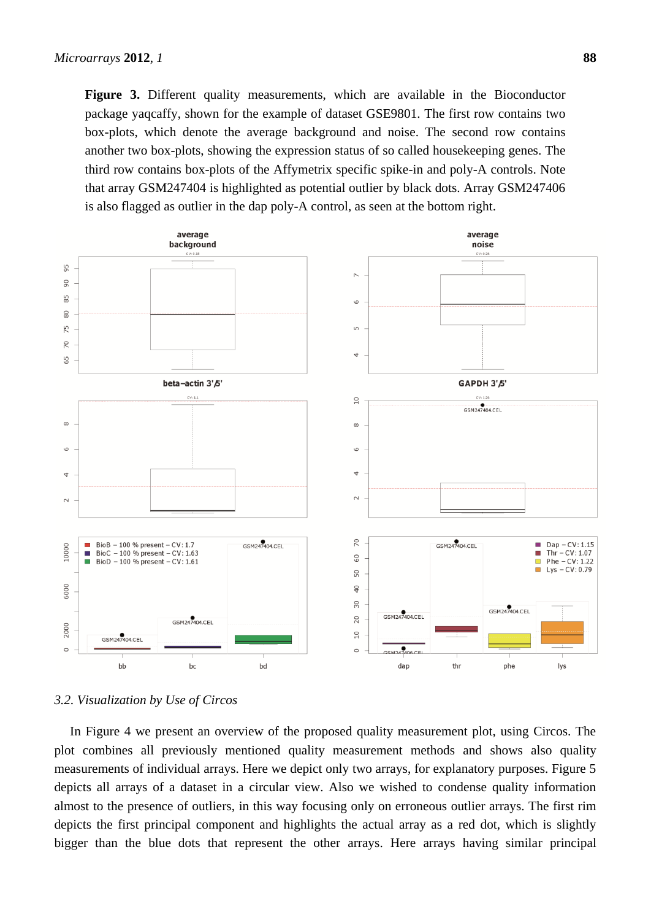**Figure 3.** Different quality measurements, which are available in the Bioconductor package yaqcaffy, shown for the example of dataset GSE9801. The first row contains two box-plots, which denote the average background and noise. The second row contains another two box-plots, showing the expression status of so called housekeeping genes. The third row contains box-plots of the Affymetrix specific spike-in and poly-A controls. Note that array GSM247404 is highlighted as potential outlier by black dots. Array GSM247406 is also flagged as outlier in the dap poly-A control, as seen at the bottom right.



# *3.2. Visualization by Use of Circos*

In Figure 4 we present an overview of the proposed quality measurement plot, using Circos. The plot combines all previously mentioned quality measurement methods and shows also quality measurements of individual arrays. Here we depict only two arrays, for explanatory purposes. Figure 5 depicts all arrays of a dataset in a circular view. Also we wished to condense quality information almost to the presence of outliers, in this way focusing only on erroneous outlier arrays. The first rim depicts the first principal component and highlights the actual array as a red dot, which is slightly bigger than the blue dots that represent the other arrays. Here arrays having similar principal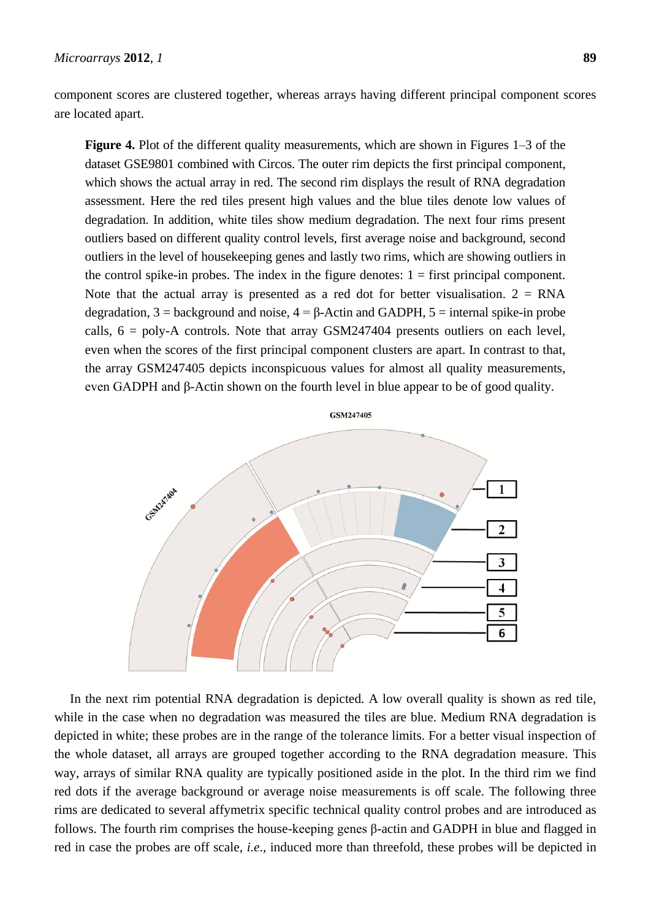component scores are clustered together, whereas arrays having different principal component scores are located apart.

**Figure 4.** Plot of the different quality measurements, which are shown in Figures 1–3 of the dataset GSE9801 combined with Circos. The outer rim depicts the first principal component, which shows the actual array in red. The second rim displays the result of RNA degradation assessment. Here the red tiles present high values and the blue tiles denote low values of degradation. In addition, white tiles show medium degradation. The next four rims present outliers based on different quality control levels, first average noise and background, second outliers in the level of housekeeping genes and lastly two rims, which are showing outliers in the control spike-in probes. The index in the figure denotes:  $1 =$  first principal component. Note that the actual array is presented as a red dot for better visualisation.  $2 = RNA$ degradation,  $3 =$  background and noise,  $4 = \beta$ -Actin and GADPH,  $5 =$  internal spike-in probe calls,  $6 = \text{poly-A}$  controls. Note that array GSM247404 presents outliers on each level, even when the scores of the first principal component clusters are apart. In contrast to that, the array GSM247405 depicts inconspicuous values for almost all quality measurements, even GADPH and β-Actin shown on the fourth level in blue appear to be of good quality.



In the next rim potential RNA degradation is depicted. A low overall quality is shown as red tile, while in the case when no degradation was measured the tiles are blue. Medium RNA degradation is depicted in white; these probes are in the range of the tolerance limits. For a better visual inspection of the whole dataset, all arrays are grouped together according to the RNA degradation measure. This way, arrays of similar RNA quality are typically positioned aside in the plot. In the third rim we find red dots if the average background or average noise measurements is off scale. The following three rims are dedicated to several affymetrix specific technical quality control probes and are introduced as follows. The fourth rim comprises the house-keeping genes β-actin and GADPH in blue and flagged in red in case the probes are off scale, *i.e*., induced more than threefold, these probes will be depicted in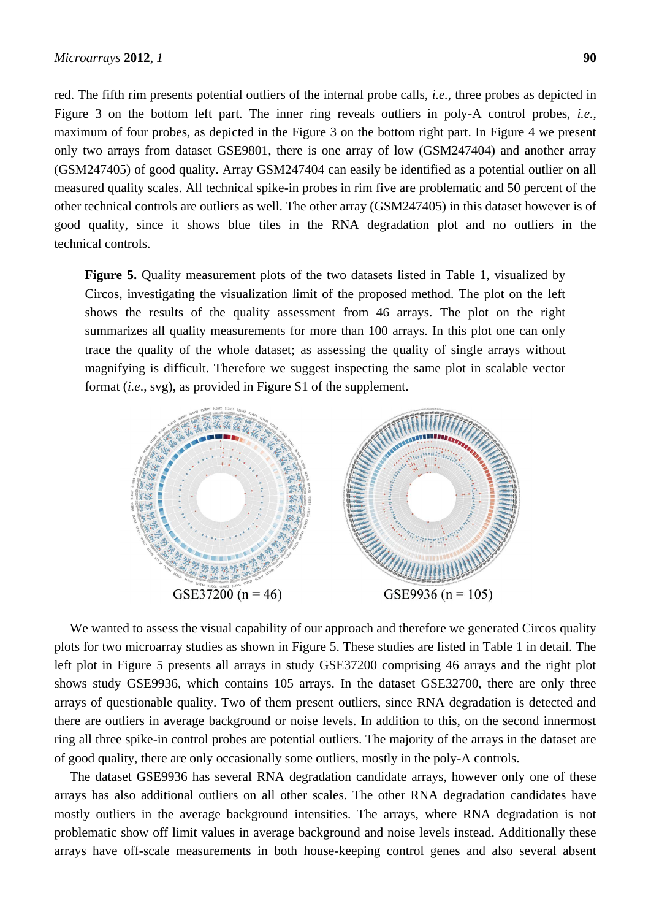red. The fifth rim presents potential outliers of the internal probe calls, *i.e.*, three probes as depicted in Figure 3 on the bottom left part. The inner ring reveals outliers in poly-A control probes, *i.e.*, maximum of four probes, as depicted in the Figure 3 on the bottom right part. In Figure 4 we present only two arrays from dataset GSE9801, there is one array of low (GSM247404) and another array (GSM247405) of good quality. Array GSM247404 can easily be identified as a potential outlier on all measured quality scales. All technical spike-in probes in rim five are problematic and 50 percent of the other technical controls are outliers as well. The other array (GSM247405) in this dataset however is of good quality, since it shows blue tiles in the RNA degradation plot and no outliers in the technical controls.

**Figure 5.** Quality measurement plots of the two datasets listed in Table 1, visualized by Circos, investigating the visualization limit of the proposed method. The plot on the left shows the results of the quality assessment from 46 arrays. The plot on the right summarizes all quality measurements for more than 100 arrays. In this plot one can only trace the quality of the whole dataset; as assessing the quality of single arrays without magnifying is difficult. Therefore we suggest inspecting the same plot in scalable vector format (*i.e*., svg), as provided in Figure S1 of the supplement.



We wanted to assess the visual capability of our approach and therefore we generated Circos quality plots for two microarray studies as shown in Figure 5. These studies are listed in Table 1 in detail. The left plot in Figure 5 presents all arrays in study GSE37200 comprising 46 arrays and the right plot shows study GSE9936, which contains 105 arrays. In the dataset GSE32700, there are only three arrays of questionable quality. Two of them present outliers, since RNA degradation is detected and there are outliers in average background or noise levels. In addition to this, on the second innermost ring all three spike-in control probes are potential outliers. The majority of the arrays in the dataset are of good quality, there are only occasionally some outliers, mostly in the poly-A controls.

The dataset GSE9936 has several RNA degradation candidate arrays, however only one of these arrays has also additional outliers on all other scales. The other RNA degradation candidates have mostly outliers in the average background intensities. The arrays, where RNA degradation is not problematic show off limit values in average background and noise levels instead. Additionally these arrays have off-scale measurements in both house-keeping control genes and also several absent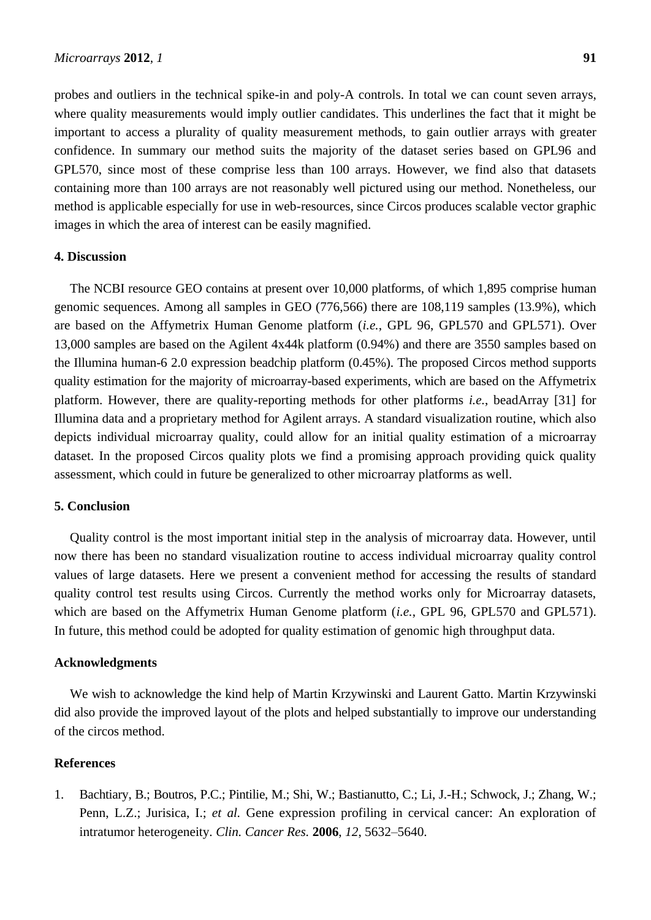probes and outliers in the technical spike-in and poly-A controls. In total we can count seven arrays, where quality measurements would imply outlier candidates. This underlines the fact that it might be important to access a plurality of quality measurement methods, to gain outlier arrays with greater confidence. In summary our method suits the majority of the dataset series based on GPL96 and GPL570, since most of these comprise less than 100 arrays. However, we find also that datasets containing more than 100 arrays are not reasonably well pictured using our method. Nonetheless, our method is applicable especially for use in web-resources, since Circos produces scalable vector graphic images in which the area of interest can be easily magnified.

# **4. Discussion**

The NCBI resource GEO contains at present over 10,000 platforms, of which 1,895 comprise human genomic sequences. Among all samples in GEO (776,566) there are 108,119 samples (13.9%), which are based on the Affymetrix Human Genome platform (*i.e.*, GPL 96, GPL570 and GPL571). Over 13,000 samples are based on the Agilent 4x44k platform (0.94%) and there are 3550 samples based on the Illumina human-6 2.0 expression beadchip platform (0.45%). The proposed Circos method supports quality estimation for the majority of microarray-based experiments, which are based on the Affymetrix platform. However, there are quality-reporting methods for other platforms *i.e.*, beadArray [31] for Illumina data and a proprietary method for Agilent arrays. A standard visualization routine, which also depicts individual microarray quality, could allow for an initial quality estimation of a microarray dataset. In the proposed Circos quality plots we find a promising approach providing quick quality assessment, which could in future be generalized to other microarray platforms as well.

# **5. Conclusion**

Quality control is the most important initial step in the analysis of microarray data. However, until now there has been no standard visualization routine to access individual microarray quality control values of large datasets. Here we present a convenient method for accessing the results of standard quality control test results using Circos. Currently the method works only for Microarray datasets, which are based on the Affymetrix Human Genome platform (*i.e.*, GPL 96, GPL570 and GPL571). In future, this method could be adopted for quality estimation of genomic high throughput data.

# **Acknowledgments**

We wish to acknowledge the kind help of Martin Krzywinski and Laurent Gatto. Martin Krzywinski did also provide the improved layout of the plots and helped substantially to improve our understanding of the circos method.

# **References**

1. Bachtiary, B.; Boutros, P.C.; Pintilie, M.; Shi, W.; Bastianutto, C.; Li, J.-H.; Schwock, J.; Zhang, W.; Penn, L.Z.; Jurisica, I.; *et al.* Gene expression profiling in cervical cancer: An exploration of intratumor heterogeneity. *Clin. Cancer Res.* **2006**, *12*, 5632–5640.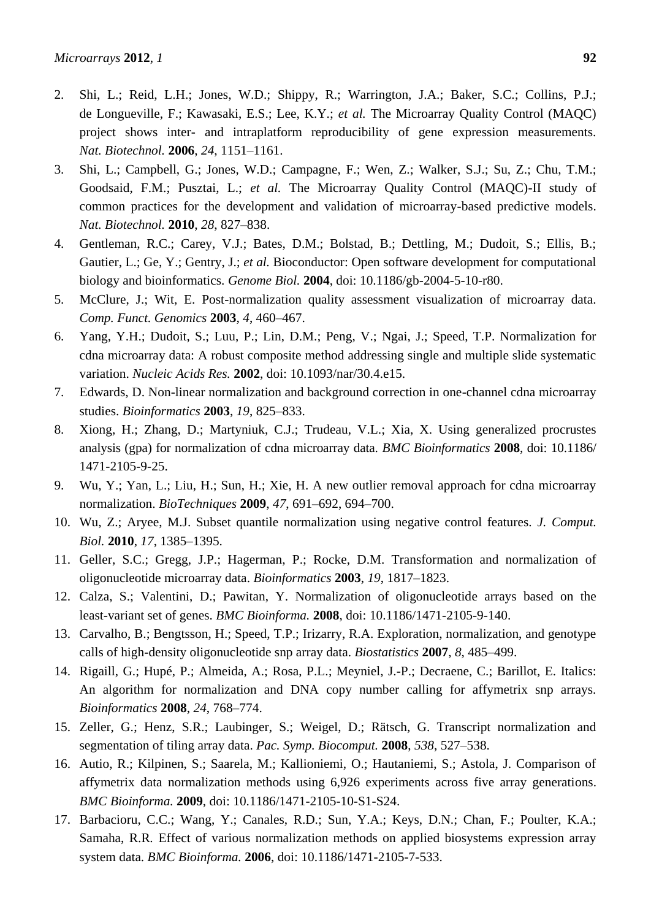- 2. Shi, L.; Reid, L.H.; Jones, W.D.; Shippy, R.; Warrington, J.A.; Baker, S.C.; Collins, P.J.; de Longueville, F.; Kawasaki, E.S.; Lee, K.Y.; *et al.* The Microarray Quality Control (MAQC) project shows inter- and intraplatform reproducibility of gene expression measurements. *Nat. Biotechnol.* **2006**, *24*, 1151–1161.
- 3. Shi, L.; Campbell, G.; Jones, W.D.; Campagne, F.; Wen, Z.; Walker, S.J.; Su, Z.; Chu, T.M.; Goodsaid, F.M.; Pusztai, L.; *et al.* The Microarray Quality Control (MAQC)-II study of common practices for the development and validation of microarray-based predictive models. *Nat. Biotechnol.* **2010**, *28*, 827–838.
- 4. Gentleman, R.C.; Carey, V.J.; Bates, D.M.; Bolstad, B.; Dettling, M.; Dudoit, S.; Ellis, B.; Gautier, L.; Ge, Y.; Gentry, J.; *et al.* Bioconductor: Open software development for computational biology and bioinformatics. *Genome Biol.* **2004**, doi: 10.1186/gb-2004-5-10-r80.
- 5. McClure, J.; Wit, E. Post-normalization quality assessment visualization of microarray data. *Comp. Funct. Genomics* **2003**, *4*, 460–467.
- 6. Yang, Y.H.; Dudoit, S.; Luu, P.; Lin, D.M.; Peng, V.; Ngai, J.; Speed, T.P. Normalization for cdna microarray data: A robust composite method addressing single and multiple slide systematic variation. *Nucleic Acids Res.* **2002**, doi: 10.1093/nar/30.4.e15.
- 7. Edwards, D. Non-linear normalization and background correction in one-channel cdna microarray studies. *Bioinformatics* **2003**, *19*, 825–833.
- 8. Xiong, H.; Zhang, D.; Martyniuk, C.J.; Trudeau, V.L.; Xia, X. Using generalized procrustes analysis (gpa) for normalization of cdna microarray data. *BMC Bioinformatics* **2008**, doi: 10.1186/ 1471-2105-9-25.
- 9. Wu, Y.; Yan, L.; Liu, H.; Sun, H.; Xie, H. A new outlier removal approach for cdna microarray normalization. *BioTechniques* **2009**, *47*, 691–692, 694–700.
- 10. Wu, Z.; Aryee, M.J. Subset quantile normalization using negative control features. *J. Comput. Biol.* **2010**, *17*, 1385–1395.
- 11. Geller, S.C.; Gregg, J.P.; Hagerman, P.; Rocke, D.M. Transformation and normalization of oligonucleotide microarray data. *Bioinformatics* **2003**, *19*, 1817–1823.
- 12. Calza, S.; Valentini, D.; Pawitan, Y. Normalization of oligonucleotide arrays based on the least-variant set of genes. *BMC Bioinforma.* **2008**, doi: 10.1186/1471-2105-9-140.
- 13. Carvalho, B.; Bengtsson, H.; Speed, T.P.; Irizarry, R.A. Exploration, normalization, and genotype calls of high-density oligonucleotide snp array data. *Biostatistics* **2007**, *8*, 485–499.
- 14. Rigaill, G.; Hupé, P.; Almeida, A.; Rosa, P.L.; Meyniel, J.-P.; Decraene, C.; Barillot, E. Italics: An algorithm for normalization and DNA copy number calling for affymetrix snp arrays. *Bioinformatics* **2008**, *24*, 768–774.
- 15. Zeller, G.; Henz, S.R.; Laubinger, S.; Weigel, D.; Rätsch, G. Transcript normalization and segmentation of tiling array data. *Pac. Symp. Biocomput.* **2008**, *538*, 527–538.
- 16. Autio, R.; Kilpinen, S.; Saarela, M.; Kallioniemi, O.; Hautaniemi, S.; Astola, J. Comparison of affymetrix data normalization methods using 6,926 experiments across five array generations. *BMC Bioinforma.* **2009**, doi: 10.1186/1471-2105-10-S1-S24.
- 17. Barbacioru, C.C.; Wang, Y.; Canales, R.D.; Sun, Y.A.; Keys, D.N.; Chan, F.; Poulter, K.A.; Samaha, R.R*.* Effect of various normalization methods on applied biosystems expression array system data. *BMC Bioinforma.* **2006**, doi: 10.1186/1471-2105-7-533.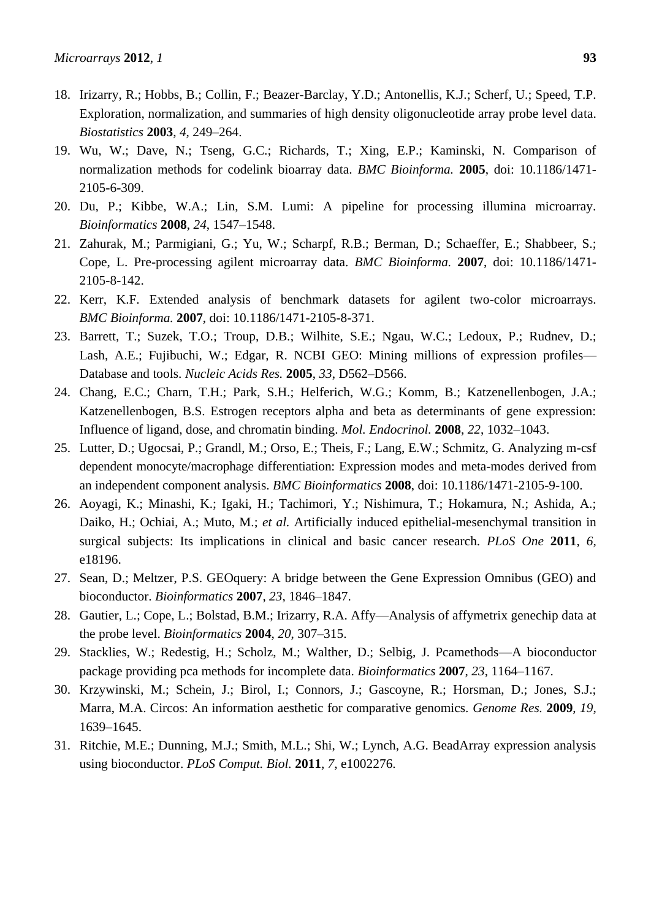- 18. Irizarry, R.; Hobbs, B.; Collin, F.; Beazer-Barclay, Y.D.; Antonellis, K.J.; Scherf, U.; Speed, T.P. Exploration, normalization, and summaries of high density oligonucleotide array probe level data. *Biostatistics* **2003**, *4*, 249–264.
- 19. Wu, W.; Dave, N.; Tseng, G.C.; Richards, T.; Xing, E.P.; Kaminski, N. Comparison of normalization methods for codelink bioarray data. *BMC Bioinforma.* **2005**, doi: 10.1186/1471- 2105-6-309.
- 20. Du, P.; Kibbe, W.A.; Lin, S.M. Lumi: A pipeline for processing illumina microarray. *Bioinformatics* **2008**, *24*, 1547–1548.
- 21. Zahurak, M.; Parmigiani, G.; Yu, W.; Scharpf, R.B.; Berman, D.; Schaeffer, E.; Shabbeer, S.; Cope, L. Pre-processing agilent microarray data. *BMC Bioinforma.* **2007**, doi: 10.1186/1471- 2105-8-142.
- 22. Kerr, K.F. Extended analysis of benchmark datasets for agilent two-color microarrays. *BMC Bioinforma.* **2007**, doi: 10.1186/1471-2105-8-371.
- 23. Barrett, T.; Suzek, T.O.; Troup, D.B.; Wilhite, S.E.; Ngau, W.C.; Ledoux, P.; Rudnev, D.; Lash, A.E.; Fujibuchi, W.; Edgar, R. NCBI GEO: Mining millions of expression profiles— Database and tools. *Nucleic Acids Res.* **2005**, *33*, D562–D566.
- 24. Chang, E.C.; Charn, T.H.; Park, S.H.; Helferich, W.G.; Komm, B.; Katzenellenbogen, J.A.; Katzenellenbogen, B.S. Estrogen receptors alpha and beta as determinants of gene expression: Influence of ligand, dose, and chromatin binding. *Mol. Endocrinol.* **2008**, *22*, 1032–1043.
- 25. Lutter, D.; Ugocsai, P.; Grandl, M.; Orso, E.; Theis, F.; Lang, E.W.; Schmitz, G. Analyzing m-csf dependent monocyte/macrophage differentiation: Expression modes and meta-modes derived from an independent component analysis. *BMC Bioinformatics* **2008**, doi: 10.1186/1471-2105-9-100.
- 26. Aoyagi, K.; Minashi, K.; Igaki, H.; Tachimori, Y.; Nishimura, T.; Hokamura, N.; Ashida, A.; Daiko, H.; Ochiai, A.; Muto, M.; *et al.* Artificially induced epithelial-mesenchymal transition in surgical subjects: Its implications in clinical and basic cancer research. *PLoS One* **2011**, *6*, e18196.
- 27. Sean, D.; Meltzer, P.S. GEOquery: A bridge between the Gene Expression Omnibus (GEO) and bioconductor. *Bioinformatics* **2007**, *23*, 1846–1847.
- 28. Gautier, L.; Cope, L.; Bolstad, B.M.; Irizarry, R.A. Affy—Analysis of affymetrix genechip data at the probe level. *Bioinformatics* **2004**, *20*, 307–315.
- 29. Stacklies, W.; Redestig, H.; Scholz, M.; Walther, D.; Selbig, J. Pcamethods—A bioconductor package providing pca methods for incomplete data. *Bioinformatics* **2007**, *23*, 1164–1167.
- 30. Krzywinski, M.; Schein, J.; Birol, I.; Connors, J.; Gascoyne, R.; Horsman, D.; Jones, S.J.; Marra, M.A. Circos: An information aesthetic for comparative genomics. *Genome Res.* **2009**, *19*, 1639–1645.
- 31. Ritchie, M.E.; Dunning, M.J.; Smith, M.L.; Shi, W.; Lynch, A.G. BeadArray expression analysis using bioconductor. *PLoS Comput. Biol.* **2011**, *7*, e1002276.